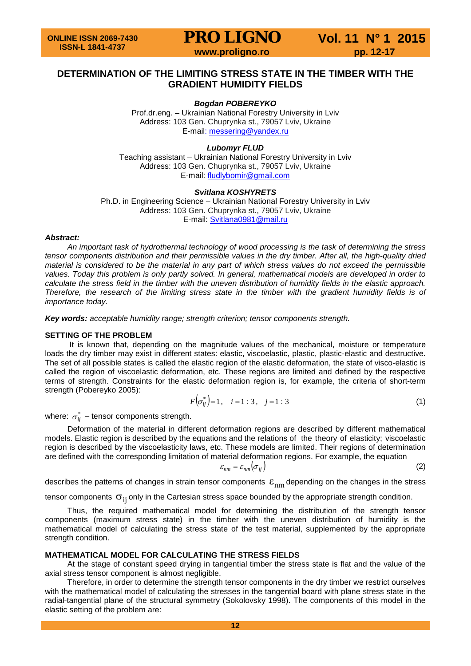**PRO LIGNO** Vol. 11 N° 1 2015<br>www.proligno.ro pp. 12-17

## **DETERMINATION OF THE LIMITING STRESS STATE IN THE TIMBER WITH THE GRADIENT HUMIDITY FIELDS**

## *Bogdan POBEREYKO*

Prof.dr.eng. – Ukrainian National Forestry University in Lviv Address: 103 Gen. Chuprynka st., 79057 Lviv, Ukraine E-mail: [messering@yandex.ru](mailto:messering@yandex.ru)

*Lubomyr FLUD*

Teaching assistant – Ukrainian National Forestry University in Lviv Address: 103 Gen. Chuprynka st., 79057 Lviv, Ukraine E-mail: [fludlybomir@gmail.com](mailto:fludlybomir@gmail.com)

#### *Svitlana KOSHYRETS*

Ph.D. in Engineering Science – Ukrainian National Forestry University in Lviv Address: 103 Gen. Chuprynka st., 79057 Lviv, Ukraine E-mail: [Svitlana0981@mail.ru](mailto:Svitlana0981@mail.ru)

#### *Abstract:*

*An important task of hydrothermal technology of wood processing is the task of determining the stress tensor components distribution and their permissible values in the dry timber. After all, the high-quality dried material is considered to be the material in any part of which stress values do not exceed the permissible values. Today this problem is only partly solved. In general, mathematical models are developed in order to calculate the stress field in the timber with the uneven distribution of humidity fields in the elastic approach. Therefore, the research of the limiting stress state in the timber with the gradient humidity fields is of importance today.*

*Key words: acceptable humidity range; strength criterion; tensor components strength.*

#### **SETTING OF THE PROBLEM**

It is known that, depending on the magnitude values of the mechanical, moisture or temperature loads the dry timber may exist in different states: elastic, viscoelastic, plastic, plastic-elastic and destructive. The set of all possible states is called the elastic region of the elastic deformation, the state of visco-elastic is called the region of viscoelastic deformation, etc. These regions are limited and defined by the respective terms of strength. Constraints for the elastic deformation region is, for example, the criteria of short-term strength (Pobereyko 2005):

$$
F(\sigma_{ij}^*) = 1, \quad i = 1 \div 3, \quad j = 1 \div 3 \tag{1}
$$

where:  $\sigma_{ii}^*$  – tensor components strength.

Deformation of the material in different deformation regions are described by different mathematical models. Elastic region is described by the equations and the relations of the theory of elasticity; viscoelastic region is described by the viscoelasticity laws, etc. These models are limited. Their regions of determination are defined with the corresponding limitation of material deformation regions. For example, the equation

$$
\varepsilon_{nm} = \varepsilon_{nm} (\sigma_{ij})
$$
 (2)

describes the patterns of changes in strain tensor components  $\varepsilon_{nm}$  depending on the changes in the stress

tensor components  $\sigma_{ii}$  only in the Cartesian stress space bounded by the appropriate strength condition.

Thus, the required mathematical model for determining the distribution of the strength tensor components (maximum stress state) in the timber with the uneven distribution of humidity is the mathematical model of calculating the stress state of the test material, supplemented by the appropriate strength condition.

#### **MATHEMATICAL MODEL FOR CALCULATING THE STRESS FIELDS**

At the stage of constant speed drying in tangential timber the stress state is flat and the value of the axial stress tensor component is almost negligible.

Therefore, in order to determine the strength tensor components in the dry timber we restrict ourselves with the mathematical model of calculating the stresses in the tangential board with plane stress state in the radial-tangential plane of the structural symmetry (Sokolovsky 1998). The components of this model in the elastic setting of the problem are: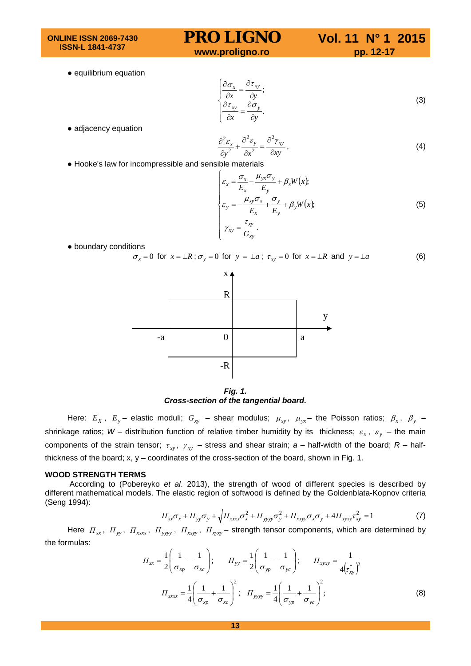**ONLINE ISSN 2069-7430 ISSN-L 1841-4737**

# **PRO LIGNO** Vol. 11 N° 1 2015<br>www.proligno.ro pp. 12-17

● equilibrium equation

$$
\begin{cases}\n\frac{\partial \sigma_x}{\partial x} = \frac{\partial \tau_{xy}}{\partial y}; \\
\frac{\partial \tau_{xy}}{\partial x} = \frac{\partial \sigma_y}{\partial y}.\n\end{cases}
$$
\n(3)

● adjacency equation

$$
\frac{\partial^2 \varepsilon_x}{\partial y^2} + \frac{\partial^2 \varepsilon_y}{\partial x^2} = \frac{\partial^2 \gamma_{xy}}{\partial xy},
$$
\n(4)

● Hooke's law for incompressible and sensible materials

$$
\begin{cases}\n\varepsilon_x = \frac{\sigma_x}{E_x} - \frac{\mu_{yx}\sigma_y}{E_y} + \beta_x W(x), \\
\varepsilon_y = -\frac{\mu_{xy}\sigma_x}{E_x} + \frac{\sigma_y}{E_y} + \beta_y W(x), \\
\gamma_{xy} = \frac{\tau_{xy}}{G_{xy}}.\n\end{cases}
$$
\n(5)

● boundary conditions

 $\sigma_x = 0$  for  $x = \pm R$ ;  $\sigma_y = 0$  for  $y = \pm a$ ;  $\tau_{xy} = 0$  for  $x = \pm R$  and  $y = \pm a$  (6)



*Fig. 1. Cross-section of the tangential board.*

Here:  $E_X$ ,  $E_y$  – elastic moduli;  $G_{xy}$  – shear modulus;  $\mu_{xy}$ ,  $\mu_{yx}$  – the Poisson ratios;  $\beta_x$ ,  $\beta_y$  – shrinkage ratios; W – distribution function of relative timber humidity by its thickness;  $\varepsilon_x$ ,  $\varepsilon_y$  – the main components of the strain tensor;  $\tau_{xy}$ ,  $\gamma_{xy}$  – stress and shear strain;  $a$  – half-width of the board;  $R$  – halfthickness of the board; x, y – coordinates of the cross-section of the board, shown in Fig. 1.

#### **WOOD STRENGTH TERMS**

According to (Pobereyko *et al*. 2013), the strength of wood of different species is described by different mathematical models. The elastic region of softwood is defined by the Goldenblata-Kopnov criteria (Seng 1994):

$$
\Pi_{xx}\sigma_x + \Pi_{yy}\sigma_y + \sqrt{\Pi_{xxxx}\sigma_x^2 + \Pi_{yyy}\sigma_y^2 + \Pi_{xxyy}\sigma_x\sigma_y + 4\Pi_{xyxy}\sigma_{xy}^2} = 1
$$
\n(7)

Here  $\Pi_{xx}$ ,  $\Pi_{yy}$ ,  $\Pi_{xxxx}$ ,  $\Pi_{yyy}$ ,  $\Pi_{xxy}$ ,  $\Pi_{xyxy}$  – strength tensor components, which are determined by the formulas:

$$
\Pi_{xx} = \frac{1}{2} \left( \frac{1}{\sigma_{xp}} - \frac{1}{\sigma_{xc}} \right); \qquad \Pi_{yy} = \frac{1}{2} \left( \frac{1}{\sigma_{yp}} - \frac{1}{\sigma_{yc}} \right); \qquad \Pi_{xyxy} = \frac{1}{4 \left( \tau_{xy}^* \right)^2}
$$
\n
$$
\Pi_{xxxx} = \frac{1}{4} \left( \frac{1}{\sigma_{xp}} + \frac{1}{\sigma_{xc}} \right)^2; \qquad \Pi_{yyyy} = \frac{1}{4} \left( \frac{1}{\sigma_{yp}} + \frac{1}{\sigma_{yc}} \right)^2; \tag{8}
$$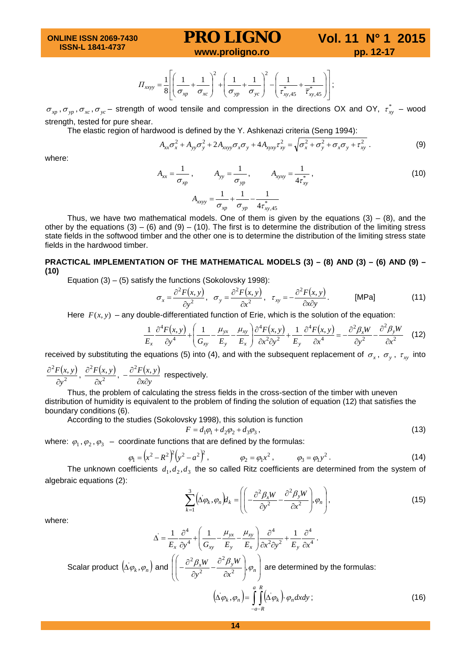**PRO LIGNO** Vol. 11 N° 1 2015<br>www.proligno.ro pp. 12-17

$$
\Pi_{xyyy} = \frac{1}{8} \left[ \left( \frac{1}{\sigma_{xp}} + \frac{1}{\sigma_{xc}} \right)^2 + \left( \frac{1}{\sigma_{yp}} + \frac{1}{\sigma_{yc}} \right)^2 - \left( \frac{1}{\tau_{xy,45}^*} + \frac{1}{\overline{\tau}_{xy,45}^*} \right) \right];
$$

 $\sigma_{xp}$ ,  $\sigma_{yp}$ ,  $\sigma_{xc}$ ,  $\sigma_{yc}$  – strength of wood tensile and compression in the directions OX and OY,  $\tau_{xy}^*$  – wood strength, tested for pure shear.

The elastic region of hardwood is defined by the Y. Ashkenazi criteria (Seng 1994):

$$
A_{xx}\sigma_x^2 + A_{yy}\sigma_y^2 + 2A_{xxyy}\sigma_x\sigma_y + 4A_{xyxy}\sigma_{xy}^2 = \sqrt{\sigma_x^2 + \sigma_y^2 + \sigma_x\sigma_y + \sigma_{xy}^2}.
$$
 (9)

where:

$$
A_{xx} = \frac{1}{\sigma_{xp}}, \qquad A_{yy} = \frac{1}{\sigma_{yp}}, \qquad A_{xyxy} = \frac{1}{4\tau_{xy}^*},
$$
(10)

Thus, we have two mathematical models. One of them is given by the equations  $(3) - (8)$ , and the other by the equations  $(3) - (6)$  and  $(9) - (10)$ . The first is to determine the distribution of the limiting stress state fields in the softwood timber and the other one is to determine the distribution of the limiting stress state fields in the hardwood timber.

## **PRACTICAL IMPLEMENTATION OF THE MATHEMATICAL MODELS (3) – (8) AND (3) – (6) AND (9) – (10)**

Equation  $(3) - (5)$  satisfy the functions (Sokolovsky 1998):

$$
\sigma_x = \frac{\partial^2 F(x, y)}{\partial y^2}, \quad \sigma_y = \frac{\partial^2 F(x, y)}{\partial x^2}, \quad \tau_{xy} = -\frac{\partial^2 F(x, y)}{\partial x \partial y}.
$$
 [MPa] (11)

Here  $F(x, y)$  – any double-differentiated function of Erie, which is the solution of the equation:

$$
\frac{1}{E_x} \frac{\partial^4 F(x, y)}{\partial y^4} + \left( \frac{1}{G_{xy}} - \frac{\mu_{yx}}{E_y} - \frac{\mu_{xy}}{E_x} \right) \frac{\partial^4 F(x, y)}{\partial x^2 \partial y^2} + \frac{1}{E_y} \frac{\partial^4 F(x, y)}{\partial x^4} = -\frac{\partial^2 \beta_x W}{\partial y^2} - \frac{\partial^2 \beta_y W}{\partial x^2} \tag{12}
$$

received by substituting the equations (5) into (4), and with the subsequent replacement of  $\sigma_x$ ,  $\sigma_y$ ,  $\tau_{xy}$  into

$$
\frac{\partial^2 F(x, y)}{\partial y^2}, \frac{\partial^2 F(x, y)}{\partial x^2}, -\frac{\partial^2 F(x, y)}{\partial x \partial y}
$$
 respectively.

Thus, the problem of calculating the stress fields in the cross-section of the timber with uneven distribution of humidity is equivalent to the problem of finding the solution of equation (12) that satisfies the boundary conditions (6).

According to the studies (Sokolovsky 1998), this solution is function

$$
F = d_1 \varphi_1 + d_2 \varphi_2 + d_3 \varphi_3 \,, \tag{13}
$$

where:  $\varphi_1, \varphi_2, \varphi_3$  – coordinate functions that are defined by the formulas:

$$
\varphi_1 = (x^2 - R^2)^2 (y^2 - a^2)^2, \qquad \varphi_2 = \varphi_1 x^2, \qquad \varphi_3 = \varphi_1 y^2.
$$
 (14)

The unknown coefficients  $d_1, d_2, d_3$  the so called Ritz coefficients are determined from the system of algebraic equations (2):

$$
\sum_{k=1}^{3} \left( \Delta \varphi_k, \varphi_n \right) d_k = \left( \left( -\frac{\partial^2 \beta_x W}{\partial y^2} - \frac{\partial^2 \beta_y W}{\partial x^2} \right) \varphi_n \right), \tag{15}
$$

where:

$$
\Delta = \frac{1}{E_x} \frac{\partial^4}{\partial y^4} + \left(\frac{1}{G_{xy}} - \frac{\mu_{yx}}{E_y} - \frac{\mu_{xy}}{E_x}\right) \frac{\partial^4}{\partial x^2 \partial y^2} + \frac{1}{E_y} \frac{\partial^4}{\partial x^4}.
$$
  
\nScalar product  $(\Delta \varphi_k, \varphi_n)$  and  $\left(\left(-\frac{\partial^2 \beta_x W}{\partial y^2} - \frac{\partial^2 \beta_y W}{\partial x^2}\right), \varphi_n\right)$  are determined by the formulas:  
\n
$$
(\Delta \varphi_k, \varphi_n) = \int_{-a-R}^a \int_0^R (\Delta \varphi_k) \cdot \varphi_n dx dy ;
$$
\n(16)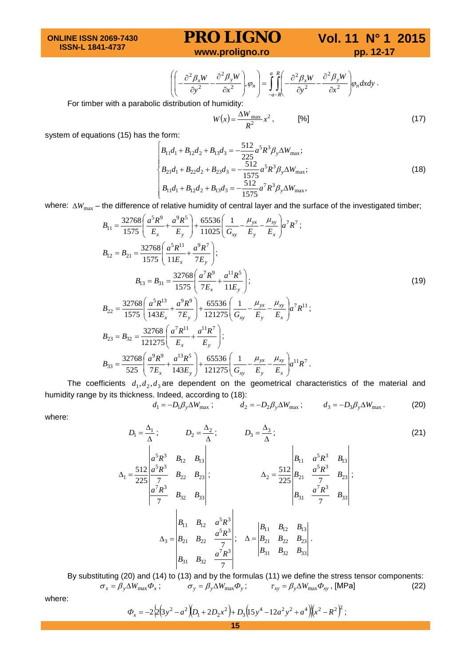**ONLINE ISSN 2069-7430 ISSN-L 1841-4737**

## **PRO LIGNO** Vol. 11 N° 1 2015<br>www.proligno.ro pp. 12-17

$$
\left( \left( -\frac{\partial^2 \beta_x W}{\partial y^2} - \frac{\partial^2 \beta_y W}{\partial x^2} \right), \varphi_n \right) = \int_{-a-R}^{a} \left( -\frac{\partial^2 \beta_x W}{\partial y^2} - \frac{\partial^2 \beta_y W}{\partial x^2} \right) \varphi_n dx dy.
$$

For timber with a parabolic distribution of humidity:

$$
W(x) = \frac{\Delta W_{\text{max}}}{R^2} x^2, \qquad [%]
$$
 (17)

system of equations (15) has the form:

$$
\begin{cases}\nB_{11}d_1 + B_{12}d_2 + B_{13}d_3 = -\frac{512}{225}a^5R^3\beta_y\Delta W_{\text{max}}; \nB_{21}d_1 + B_{22}d_2 + B_{23}d_3 = -\frac{512}{1575}a^5R^3\beta_y\Delta W_{\text{max}}; \nB_{11}d_1 + B_{12}d_2 + B_{13}d_3 = -\frac{512}{1575}a^7R^3\beta_y\Delta W_{\text{max}},\n\end{cases}
$$
\n(18)

*where:* ∆*W*<sub>max</sub> – the difference of relative humidity of central layer and the surface of the investigated timber;

$$
B_{11} = \frac{32768}{1575} \left( \frac{a^5 R^9}{E_x} + \frac{a^9 R^5}{E_y} \right) + \frac{65536}{11025} \left( \frac{1}{G_{xy}} - \frac{\mu_{yx}}{E_y} - \frac{\mu_{xy}}{E_x} \right) a^7 R^7 ;
$$
  
\n
$$
B_{12} = B_{21} = \frac{32768}{1575} \left( \frac{a^5 R^{11}}{11E_x} + \frac{a^9 R^7}{7E_y} \right);
$$
  
\n
$$
B_{13} = B_{31} = \frac{32768}{1575} \left( \frac{a^7 R^9}{7E_x} + \frac{a^{11} R^5}{11E_y} \right);
$$
  
\n
$$
B_{22} = \frac{32768}{1575} \left( \frac{a^5 R^{13}}{143E_x} + \frac{a^9 R^9}{7E_y} \right) + \frac{65536}{121275} \left( \frac{1}{G_{xy}} - \frac{\mu_{yx}}{E_y} - \frac{\mu_{xy}}{E_x} \right) a^7 R^{11} ;
$$
  
\n(19)

$$
B_{23} = B_{32} = \frac{32768}{121275} \left( \frac{a^7 R^{11}}{E_x} + \frac{a^{11} R^7}{E_y} \right);
$$
  
\n
$$
B_{33} = \frac{32768}{525} \left( \frac{a^7 R^{11}}{E_x} + \frac{a^{11} R^7}{E_y} \right);
$$
  
\n
$$
B_{33} = \frac{32768}{525} \left( \frac{a^9 R^9}{7 E_x} + \frac{a^{13} R^5}{143 E_y} \right) + \frac{65536}{121275} \left( \frac{1}{G_{xy}} - \frac{\mu_{yx}}{E_y} - \frac{\mu_{xy}}{E_x} \right) a^{11} R^7.
$$

The coefficients  $d_1, d_2, d_3$  are dependent on the geometrical characteristics of the material and humidity range by its thickness. Indeed, according to (18):

$$
d_1 = -D_1 \beta_y \Delta W_{\text{max}} \; ; \qquad d_2 = -D_2 \beta_y \Delta W_{\text{max}} \; ; \qquad d_3 = -D_3 \beta_y \Delta W_{\text{max}} \; . \tag{20}
$$

where:

$$
D_{1} = \frac{\Delta_{1}}{\Delta}; \qquad D_{2} = \frac{\Delta_{2}}{\Delta}; \qquad D_{3} = \frac{\Delta_{3}}{\Delta}; \qquad (21)
$$
\n
$$
\Delta_{1} = \frac{512}{225} \begin{vmatrix} a^{5}R^{3} & B_{12} & B_{13} \\ a^{5}R^{3} & B_{22} & B_{23} \\ \frac{a^{7}R^{3}}{7} & B_{32} & B_{33} \end{vmatrix}; \qquad \Delta_{2} = \frac{512}{225} \begin{vmatrix} B_{11} & a^{5}R^{3} & B_{13} \\ B_{21} & \frac{a^{5}R^{3}}{7} & B_{23} \\ B_{31} & \frac{a^{7}R^{3}}{7} & B_{33} \end{vmatrix};
$$
\n
$$
\Delta_{3} = \begin{vmatrix} B_{11} & B_{12} & a^{5}R^{3} \\ B_{21} & B_{22} & \frac{a^{5}R^{3}}{7} \\ B_{31} & B_{32} & \frac{a^{7}R^{3}}{7} \end{vmatrix}; \qquad \Delta = \begin{vmatrix} B_{11} & B_{12} & B_{13} \\ B_{21} & B_{22} & B_{23} \\ B_{31} & B_{32} & B_{33} \end{vmatrix}.
$$
\n(21)

By substituting (20) and (14) to (13) and by the formulas (11) we define the stress tensor components:  $\sigma_x = \beta_y \Delta W_{\text{max}} \Phi_x$ ;  $\sigma_y = \beta_y \Delta W_{\text{max}} \Phi_y$ ;  $\tau_{xy} = \beta_y \Delta W_{\text{max}} \Phi_{xy}$ , [MPa] (22)

where:

$$
\Phi_x = -2\left[2\left(3y^2 - a^2\right)\left(D_1 + 2D_2x^2\right) + D_3\left(15y^4 - 12a^2y^2 + a^4\right)\right]\left(x^2 - R^2\right)^2;
$$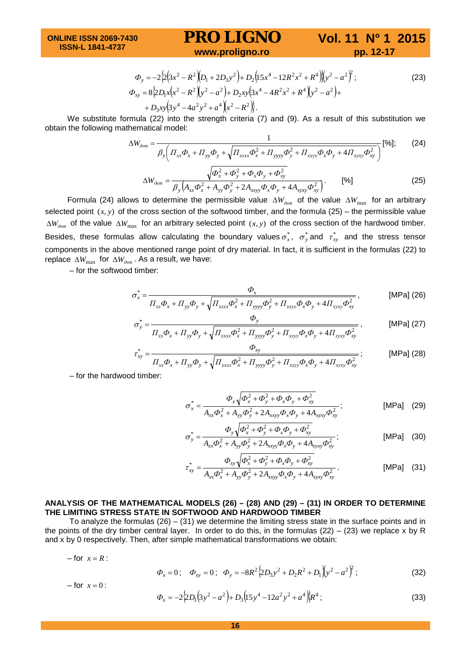**PRO LIGNO** Vol. 11 N° 1 2015<br>www.proligno.ro pp. 12-17

$$
\Phi_{y} = -2\{2\left(3x^{2} - R^{2}\right)\left(D_{1} + 2D_{3}y^{2}\right) + D_{2}\left(15x^{4} - 12R^{2}x^{2} + R^{4}\right)\left(y^{2} - a^{2}\right)^{2};
$$
\n
$$
\Phi_{xy} = 8\left\{2D_{1}x\left(x^{2} - R^{2}\right)\left(y^{2} - a^{2}\right) + D_{2}xy\left(3x^{4} - 4R^{2}x^{2} + R^{4}\right)\left(y^{2} - a^{2}\right) + D_{3}xy\left(3y^{4} - 4a^{2}y^{2} + a^{4}\right)\left(x^{2} - R^{2}\right)\right\}.
$$
\n(23)

We substitute formula (22) into the strength criteria (7) and (9). As a result of this substitution we obtain the following mathematical model:

$$
\Delta W_{\partial on} = \frac{1}{\beta_y \left( \Pi_{xx} \Phi_x + \Pi_{yy} \Phi_y + \sqrt{\Pi_{xxxx} \Phi_x^2 + \Pi_{yyy} \Phi_y^2 + \Pi_{xxyy} \Phi_x \Phi_y + 4 \Pi_{xyxy} \Phi_{xy}^2} \right)} \text{[%];}
$$
 (24)

$$
\Delta W_{\partial on} = \frac{\sqrt{\Phi_x^2 + \Phi_y^2 + \Phi_x \Phi_y + \Phi_{xy}^2}}{\beta_y \left(A_{xx} \Phi_x^2 + A_{yy} \Phi_y^2 + 2A_{xyyy} \Phi_x \Phi_y + 4A_{xyxy} \Phi_{xy}^2\right)}.
$$
 [%) (25)

Formula (24) allows to determine the permissible value ∆*Wдоп* of the value ∆*W*max for an arbitrary selected point  $(x, y)$  of the cross section of the softwood timber, and the formula  $(25)$  – the permissible value ∆*Wдоп* of the value ∆*W*max for an arbitrary selected point (*x*, *y*) of the cross section of the hardwood timber. Besides, these formulas allow calculating the boundary values  $\sigma_x^*$ ,  $\sigma_y^*$  and  $\tau_{xy}^*$  and the stress tensor components in the above mentioned range point of dry material. In fact, it is sufficient in the formulas (22) to replace ∆*W*max for ∆*Wдоп* . As a result, we have:

– for the softwood timber:

$$
\sigma_x^* = \frac{\Phi_x}{\prod_{xx}\Phi_x + \prod_{yy}\Phi_y + \sqrt{\prod_{xxxx}\Phi_x^2 + \prod_{yyy}\Phi_y^2 + \prod_{xxyy}\Phi_x\Phi_y + 4\prod_{xyxy}\Phi_{xy}^2}},
$$
 [MPa] (26)

$$
\sigma_{y}^{*} = \frac{\Phi_{y}}{\Pi_{xx}\Phi_{x} + \Pi_{yy}\Phi_{y} + \sqrt{\Pi_{xxxx}\Phi_{x}^{2} + \Pi_{yyy}\Phi_{y}^{2} + \Pi_{xxyy}\Phi_{x}\Phi_{y} + 4\Pi_{xyxy}\Phi_{xy}^{2}}},
$$
[MPa] (27)

$$
\tau_{xy}^* = \frac{\Phi_{xy}}{\Pi_{xx}\Phi_x + \Pi_{yy}\Phi_y + \sqrt{\Pi_{xxxx}\Phi_x^2 + \Pi_{yyy}\Phi_y^2 + \Pi_{xxyy}\Phi_x\Phi_y + 4\Pi_{xyxy}\Phi_{xy}^2}}; \quad [MPa] \text{ (28)}
$$

– for the hardwood timber:

$$
\sigma_x^* = \frac{\Phi_x \sqrt{\Phi_x^2 + \Phi_y^2 + \Phi_x \Phi_y + \Phi_{xy}^2}}{A_{xx} \Phi_x^2 + A_{yy} \Phi_y^2 + 2A_{xyy} \Phi_x \Phi_y + 4A_{xyy} \Phi_{xy}^2};
$$
 [MPa] (29)

$$
\sigma_{y}^{*} = \frac{\Phi_{y}\sqrt{\Phi_{x}^{2} + \Phi_{y}^{2} + \Phi_{x}\Phi_{y} + \Phi_{xy}^{2}}}{A_{xx}\Phi_{x}^{2} + A_{yy}\Phi_{y}^{2} + 2A_{xxy}\Phi_{x}\Phi_{y} + 4A_{xyxy}\Phi_{xy}^{2}}; \qquad [MPa] \quad (30)
$$

$$
\tau_{xy}^* = \frac{\Phi_{xy} \sqrt{\Phi_x^2 + \Phi_y^2 + \Phi_x \Phi_y + \Phi_{xy}^2}}{A_{xx} \Phi_x^2 + A_{yy} \Phi_y^2 + 2A_{xxy} \Phi_x \Phi_y + 4A_{xyxy} \Phi_{xy}^2}.
$$
 [MPa] (31)

#### **ANALYSIS OF THE MATHEMATICAL MODELS (26) – (28) AND (29) – (31) IN ORDER TO DETERMINE THE LIMITING STRESS STATE IN SOFTWOOD AND HARDWOOD TIMBER**

To analyze the formulas  $(26) - (31)$  we determine the limiting stress state in the surface points and in the points of the dry timber central layer. In order to do this, in the formulas (22) – (23) we replace x by R and x by 0 respectively. Then, after simple mathematical transformations we obtain:

 $-$  for  $x = R$ :

 $-$  for  $x = 0$  :

$$
\Phi_x = 0; \quad \Phi_{xy} = 0; \quad \Phi_y = -8R^2 \Big\{ 2D_3 y^2 + D_2 R^2 + D_1 \Big\} (y^2 - a^2)^2 ; \tag{32}
$$

$$
\varPhi_{x} = -2\left\{2D_{1}\left(3y^{2} - a^{2}\right) + D_{3}\left(15y^{4} - 12a^{2}y^{2} + a^{4}\right)\right\}R^{4};
$$
\n(33)